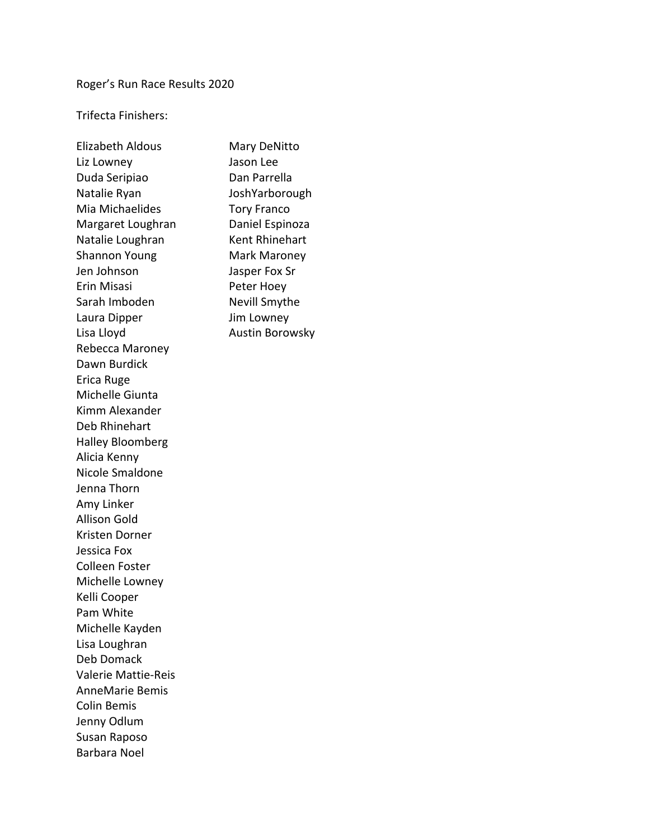# Roger's Run Race Results 2020

Trifecta Finishers:

| <b>Elizabeth Aldous</b> |
|-------------------------|
| Liz Lowney              |
| Duda Seripiao           |
| Natalie Ryan            |
| Mia Michaelides         |
| Margaret Loughran       |
| Natalie Loughran        |
| <b>Shannon Young</b>    |
| Jen Johnson             |
| <b>Erin Misasi</b>      |
| Sarah Imboden           |
| Laura Dipper            |
| Lisa Lloyd              |
| Rebecca Maroney         |
| Dawn Burdick            |
| Erica Ruge              |
| Michelle Giunta         |
| Kimm Alexander          |
| Deb Rhinehart           |
| <b>Halley Bloomberg</b> |
| Alicia Kenny            |
| Nicole Smaldone         |
| Jenna Thorn             |
| Amy Linker              |
| <b>Allison Gold</b>     |
| Kristen Dorner          |
| Jessica Fox             |
| Colleen Foster          |
| Michelle Lowney         |
| Kelli Cooper            |
| Pam White               |
| Michelle Kayden         |
| Lisa Loughran           |
| Deb Domack              |
| Valerie Mattie-Reis     |
| <b>AnneMarie Bemis</b>  |
| <b>Colin Bemis</b>      |
| Jenny Odlum             |
| Susan Raposo            |
| Barbara Noel            |

Mary DeNitto Jason Lee Dan Parrella JoshYarborough Tory Franco Daniel Espinoza Kent Rhinehart Mark Maroney Jasper Fox Sr Peter Hoey Nevill Smythe Jim Lowney Austin Borowsky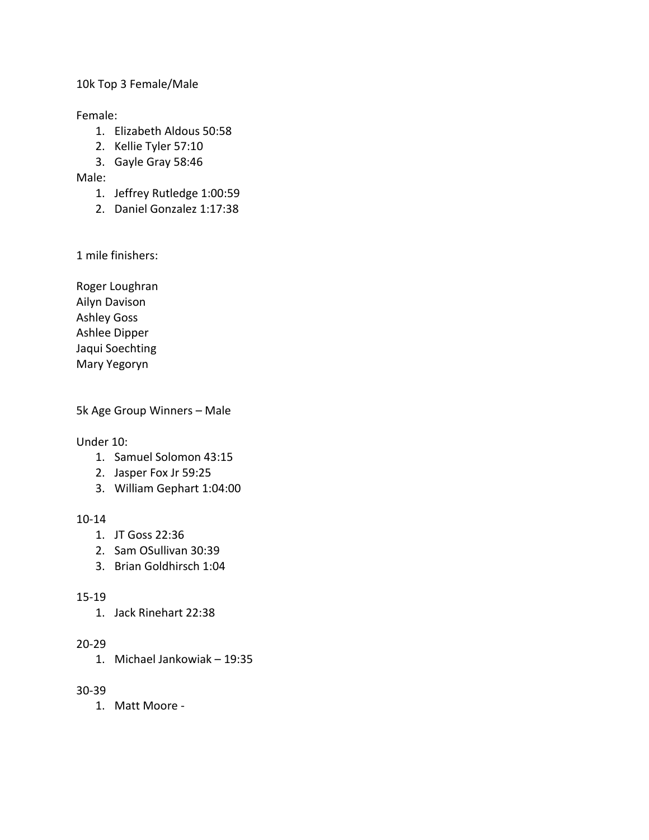#### 10k Top 3 Female/Male

### Female:

- 1. Elizabeth Aldous 50:58
- 2. Kellie Tyler 57:10
- 3. Gayle Gray 58:46

## Male:

- 1. Jeffrey Rutledge 1:00:59
- 2. Daniel Gonzalez 1:17:38

1 mile finishers:

Roger Loughran Ailyn Davison Ashley Goss Ashlee Dipper Jaqui Soechting Mary Yegoryn

5k Age Group Winners – Male

#### Under 10:

- 1. Samuel Solomon 43:15
- 2. Jasper Fox Jr 59:25
- 3. William Gephart 1:04:00

## 10-14

- 1. JT Goss 22:36
- 2. Sam OSullivan 30:39
- 3. Brian Goldhirsch 1:04

## 15-19

1. Jack Rinehart 22:38

## 20-29

1. Michael Jankowiak – 19:35

## 30-39

1. Matt Moore -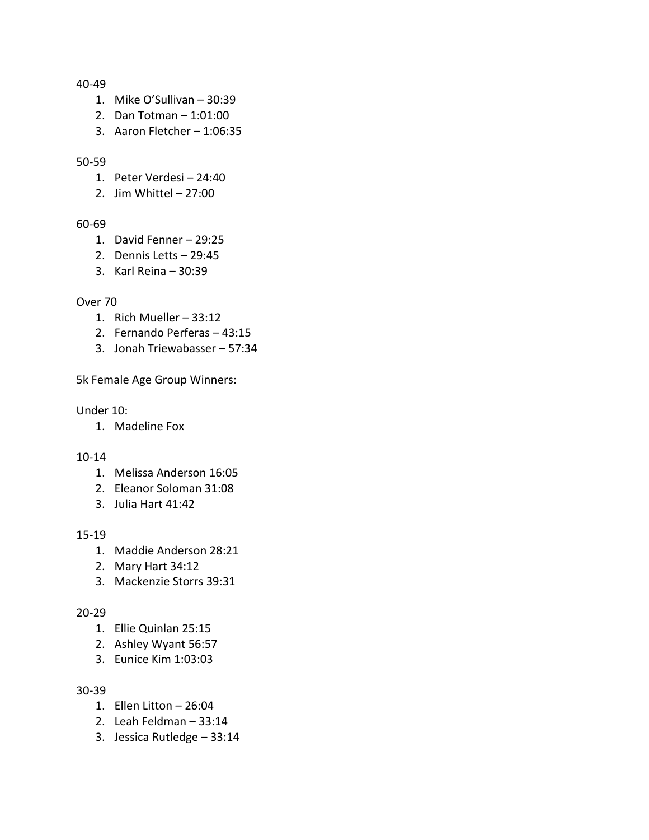#### 40-49

- 1. Mike O'Sullivan 30:39
- 2. Dan Totman 1:01:00
- 3. Aaron Fletcher 1:06:35

#### 50-59

- 1. Peter Verdesi 24:40
- 2. Jim Whittel 27:00

#### 60-69

- 1. David Fenner 29:25
- 2. Dennis Letts 29:45
- 3. Karl Reina 30:39

### Over 70

- 1. Rich Mueller 33:12
- 2. Fernando Perferas 43:15
- 3. Jonah Triewabasser 57:34

5k Female Age Group Winners:

#### Under 10:

1. Madeline Fox

#### 10-14

- 1. Melissa Anderson 16:05
- 2. Eleanor Soloman 31:08
- 3. Julia Hart 41:42

#### 15-19

- 1. Maddie Anderson 28:21
- 2. Mary Hart 34:12
- 3. Mackenzie Storrs 39:31

#### 20-29

- 1. Ellie Quinlan 25:15
- 2. Ashley Wyant 56:57
- 3. Eunice Kim 1:03:03

#### 30-39

- 1. Ellen Litton 26:04
- 2. Leah Feldman 33:14
- 3. Jessica Rutledge 33:14